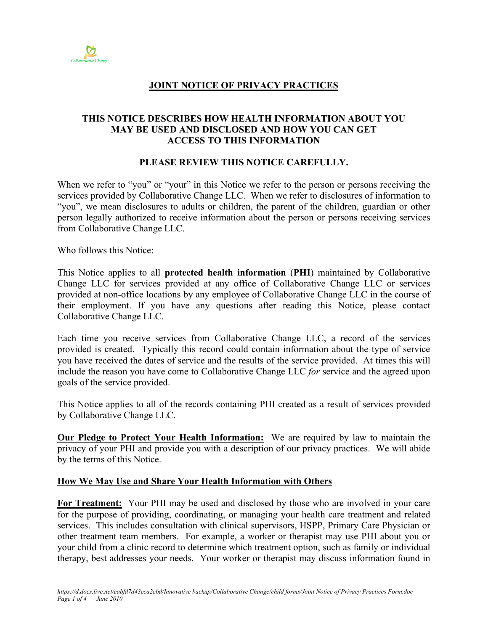

# **JOINT NOTICE OF PRIVACY PRACTICES**

## **THIS NOTICE DESCRIBES HOW HEALTH INFORMATION ABOUT YOU MAY BE USED AND DISCLOSED AND HOW YOU CAN GET ACCESS TO THIS INFORMATION**

## **PLEASE REVIEW THIS NOTICE CAREFULLY.**

When we refer to "you" or "your" in this Notice we refer to the person or persons receiving the services provided by Collaborative Change LLC. When we refer to disclosures of information to "you", we mean disclosures to adults or children, the parent of the children, guardian or other person legally authorized to receive information about the person or persons receiving services from Collaborative Change LLC.

Who follows this Notice:

This Notice applies to all **protected health information** (**PHI**) maintained by Collaborative Change LLC for services provided at any office of Collaborative Change LLC or services provided at non-office locations by any employee of Collaborative Change LLC in the course of their employment. If you have any questions after reading this Notice, please contact Collaborative Change LLC.

Each time you receive services from Collaborative Change LLC, a record of the services provided is created. Typically this record could contain information about the type of service you have received the dates of service and the results of the service provided. At times this will include the reason you have come to Collaborative Change LLC *for* service and the agreed upon goals of the service provided.

This Notice applies to all of the records containing PHI created as a result of services provided by Collaborative Change LLC.

**Our Pledge to Protect Your Health Information:** We are required by law to maintain the privacy of your PHI and provide you with a description of our privacy practices. We will abide by the terms of this Notice.

#### **How We May Use and Share Your Health Information with Others**

**For Treatment:** Your PHI may be used and disclosed by those who are involved in your care for the purpose of providing, coordinating, or managing your health care treatment and related services. This includes consultation with clinical supervisors, HSPP, Primary Care Physician or other treatment team members. For example, a worker or therapist may use PHI about you or your child from a clinic record to determine which treatment option, such as family or individual therapy, best addresses your needs. Your worker or therapist may discuss information found in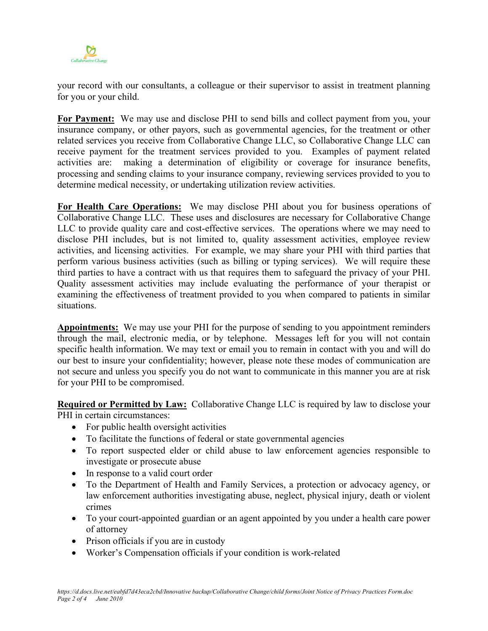

your record with our consultants, a colleague or their supervisor to assist in treatment planning for you or your child.

**For Payment:** We may use and disclose PHI to send bills and collect payment from you, your insurance company, or other payors, such as governmental agencies, for the treatment or other related services you receive from Collaborative Change LLC, so Collaborative Change LLC can receive payment for the treatment services provided to you. Examples of payment related activities are: making a determination of eligibility or coverage for insurance benefits, processing and sending claims to your insurance company, reviewing services provided to you to determine medical necessity, or undertaking utilization review activities.

**For Health Care Operations:** We may disclose PHI about you for business operations of Collaborative Change LLC. These uses and disclosures are necessary for Collaborative Change LLC to provide quality care and cost-effective services. The operations where we may need to disclose PHI includes, but is not limited to, quality assessment activities, employee review activities, and licensing activities. For example, we may share your PHI with third parties that perform various business activities (such as billing or typing services). We will require these third parties to have a contract with us that requires them to safeguard the privacy of your PHI. Quality assessment activities may include evaluating the performance of your therapist or examining the effectiveness of treatment provided to you when compared to patients in similar situations.

**Appointments:** We may use your PHI for the purpose of sending to you appointment reminders through the mail, electronic media, or by telephone. Messages left for you will not contain specific health information. We may text or email you to remain in contact with you and will do our best to insure your confidentiality; however, please note these modes of communication are not secure and unless you specify you do not want to communicate in this manner you are at risk for your PHI to be compromised.

**Required or Permitted by Law:** Collaborative Change LLC is required by law to disclose your PHI in certain circumstances:

- For public health oversight activities
- To facilitate the functions of federal or state governmental agencies
- To report suspected elder or child abuse to law enforcement agencies responsible to investigate or prosecute abuse
- In response to a valid court order
- To the Department of Health and Family Services, a protection or advocacy agency, or law enforcement authorities investigating abuse, neglect, physical injury, death or violent crimes
- To your court-appointed guardian or an agent appointed by you under a health care power of attorney
- Prison officials if you are in custody
- Worker's Compensation officials if your condition is work-related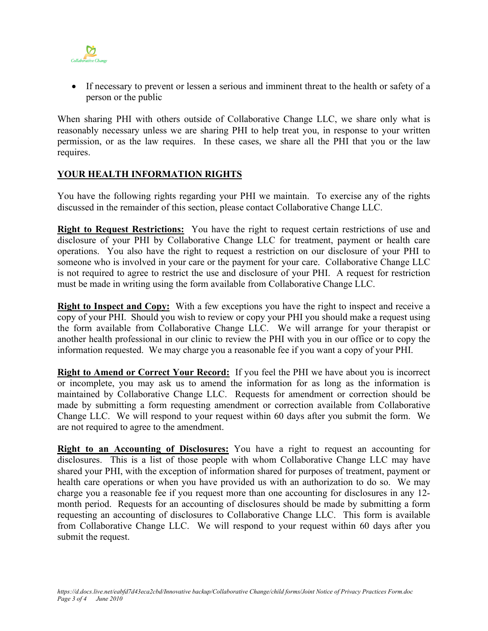

• If necessary to prevent or lessen a serious and imminent threat to the health or safety of a person or the public

When sharing PHI with others outside of Collaborative Change LLC, we share only what is reasonably necessary unless we are sharing PHI to help treat you, in response to your written permission, or as the law requires. In these cases, we share all the PHI that you or the law requires.

# **YOUR HEALTH INFORMATION RIGHTS**

You have the following rights regarding your PHI we maintain. To exercise any of the rights discussed in the remainder of this section, please contact Collaborative Change LLC.

**Right to Request Restrictions:** You have the right to request certain restrictions of use and disclosure of your PHI by Collaborative Change LLC for treatment, payment or health care operations. You also have the right to request a restriction on our disclosure of your PHI to someone who is involved in your care or the payment for your care. Collaborative Change LLC is not required to agree to restrict the use and disclosure of your PHI. A request for restriction must be made in writing using the form available from Collaborative Change LLC.

**Right to Inspect and Copy:** With a few exceptions you have the right to inspect and receive a copy of your PHI. Should you wish to review or copy your PHI you should make a request using the form available from Collaborative Change LLC. We will arrange for your therapist or another health professional in our clinic to review the PHI with you in our office or to copy the information requested. We may charge you a reasonable fee if you want a copy of your PHI.

**Right to Amend or Correct Your Record:** If you feel the PHI we have about you is incorrect or incomplete, you may ask us to amend the information for as long as the information is maintained by Collaborative Change LLC. Requests for amendment or correction should be made by submitting a form requesting amendment or correction available from Collaborative Change LLC. We will respond to your request within 60 days after you submit the form. We are not required to agree to the amendment.

**Right to an Accounting of Disclosures:** You have a right to request an accounting for disclosures. This is a list of those people with whom Collaborative Change LLC may have shared your PHI, with the exception of information shared for purposes of treatment, payment or health care operations or when you have provided us with an authorization to do so. We may charge you a reasonable fee if you request more than one accounting for disclosures in any 12 month period. Requests for an accounting of disclosures should be made by submitting a form requesting an accounting of disclosures to Collaborative Change LLC. This form is available from Collaborative Change LLC. We will respond to your request within 60 days after you submit the request.